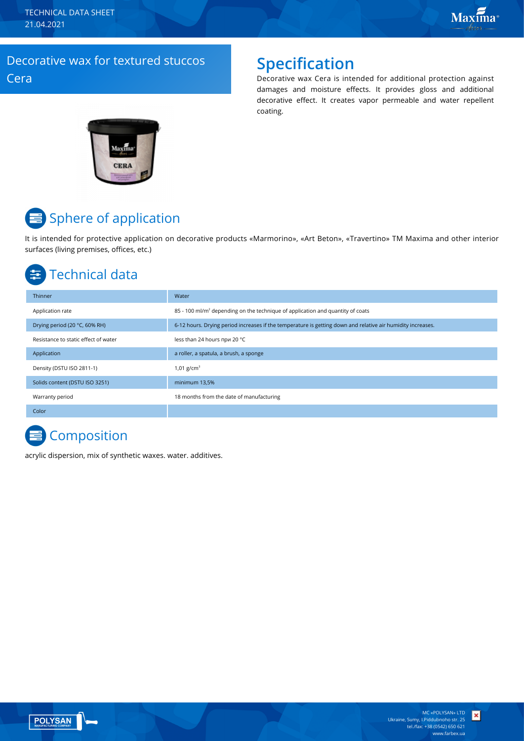TECHNICAL DATA SHEET 21.04.2021

### Decorative wax for textured stuccos Cera

### **Specification**

Decorative wax Cera is intended for additional protection against damages and moisture effects. It provides gloss and additional decorative effect. It creates vapor permeable and water repellent coating.



# **■** Sphere of application

It is intended for protective application on decorative products «Marmorino», «Art Beton», «Travertino» TM Maxima and other interior surfaces (living premises, offices, etc.)

### Technical data

| Thinner                              | Water                                                                                                       |
|--------------------------------------|-------------------------------------------------------------------------------------------------------------|
| Application rate                     | $85 - 100$ ml/m <sup>2</sup> depending on the technique of application and quantity of coats                |
| Drying period (20 °C, 60% RH)        | 6-12 hours. Drying period increases if the temperature is getting down and relative air humidity increases. |
| Resistance to static effect of water | less than 24 hours при 20 °C                                                                                |
| Application                          | a roller, a spatula, a brush, a sponge                                                                      |
| Density (DSTU ISO 2811-1)            | 1,01 $g/cm^{3}$                                                                                             |
| Solids content (DSTU ISO 3251)       | minimum 13,5%                                                                                               |
| Warranty period                      | 18 months from the date of manufacturing                                                                    |
| Color                                |                                                                                                             |

# **E** Composition

acrylic dispersion, mix of synthetic waxes. water. additives.



 $\vert x \vert$